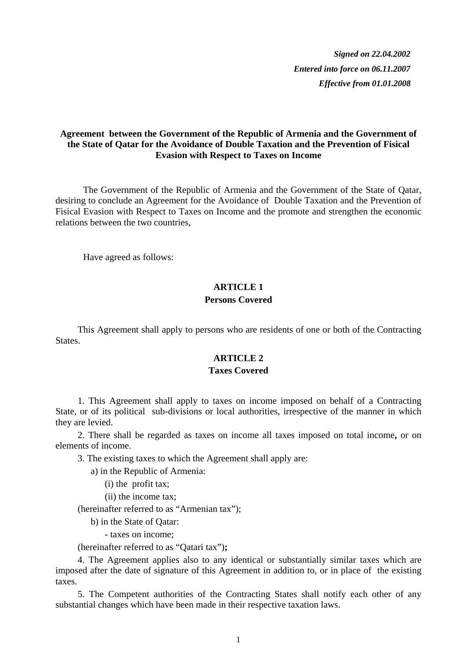*Signed on 22.04.2002 Entered into force on 06.11.2007 Effective from 01.01.2008*

# **Agreement between the Government of the Republic of Armenia and the Government of the State of Qatar for the Avoidance of Double Taxation and the Prevention of Fisical Evasion with Respect to Taxes on Income**

 The Government of the Republic of Armenia and the Government of the State of Qatar, desiring to conclude an Agreement for the Avoidance of Double Taxation and the Prevention of Fisical Evasion with Respect to Taxes on Income and the promote and strengthen the economic relations between the two countries,

Have agreed as follows:

# **ARTICLE 1 Persons Covered**

This Agreement shall apply to persons who are residents of one or both of the Contracting States.

# **ARTICLE 2**

#### **Taxes Covered**

1. This Agreement shall apply to taxes on income imposed on behalf of a Contracting State, or of its political sub-divisions or local authorities, irrespective of the manner in which they are levied.

2. There shall be regarded as taxes on income all taxes imposed on total income**,** or on elements of income.

3. The existing taxes to which the Agreement shall apply are:

a) in the Republic of Armenia:

(i) the profit tax;

(ii) the income tax;

(hereinafter referred to as "Armenian tax");

b) in the State of Qatar:

- taxes on income;

(hereinafter referred to as "Qatari tax")**;**

4. The Agreement applies also to any identical or substantially similar taxes which are imposed after the date of signature of this Agreement in addition to, or in place of the existing taxes.

5. The Competent authorities of the Contracting States shall notify each other of any substantial changes which have been made in their respective taxation laws.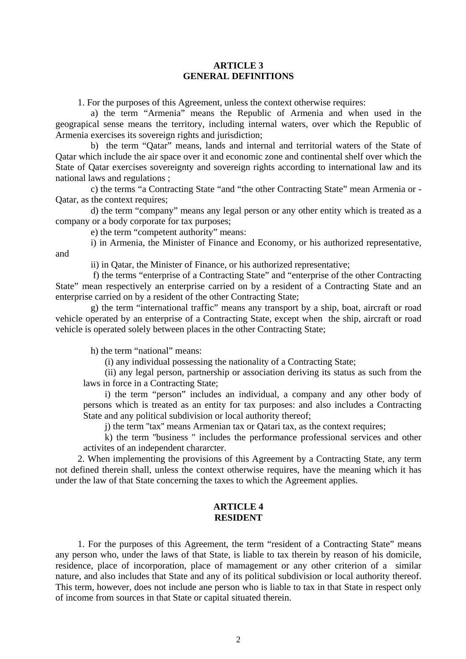## **ARTICLE 3 GENERAL DEFINITIONS**

1. For the purposes of this Agreement, unless the context otherwise requires:

a) the term "Armenia" means the Republic of Armenia and when used in the geograpical sense means the territory, including internal waters, over which the Republic of Armenia exercises its sovereign rights and jurisdiction;

b) the term "Qatar" means, lands and internal and territorial waters of the State of Qatar which include the air space over it and economic zone and continental shelf over which the State of Qatar exercises sovereignty and sovereign rights according to international law and its national laws and regulations ;

c) the terms "a Contracting State "and "the other Contracting State" mean Armenia or - Qatar, as the context requires;

d) the term "company" means any legal person or any other entity which is treated as a company or a body corporate for tax purposes;

e) the term "competent authority" means:

i) in Armenia, the Minister of Finance and Economy, or his authorized representative, and

ii) in Qatar, the Minister of Finance, or his authorized representative;

f) the terms "enterprise of a Contracting State" and "enterprise of the other Contracting State" mean respectively an enterprise carried on by a resident of a Contracting State and an enterprise carried on by a resident of the other Contracting State;

g) the term "international traffic" means any transport by a ship, boat, aircraft or road vehicle operated by an enterprise of a Contracting State, except when the ship, aircraft or road vehicle is operated solely between places in the other Contracting State;

h) the term "national" means:

(i) any individual possessing the nationality of a Contracting State;

(ii) any legal person, partnership or association deriving its status as such from the laws in force in a Contracting State;

i) the term "person" includes an individual, a company and any other body of persons which is treated as an entity for tax purposes: and also includes a Contracting State and any political subdivision or local authority thereof;

j) the term ''tax'' means Armenian tax or Qatari tax, as the context requires;

k) the term ''business '' includes the performance professional services and other activites of an independent chararcter.

2. When implementing the provisions of this Agreement by a Contracting State, any term not defined therein shall, unless the context otherwise requires, have the meaning which it has under the law of that State concerning the taxes to which the Agreement applies.

#### **ARTICLE 4 RESIDENT**

1. For the purposes of this Agreement, the term "resident of a Contracting State" means any person who, under the laws of that State, is liable to tax therein by reason of his domicile, residence, place of incorporation, place of mamagement or any other criterion of a similar nature, and also includes that State and any of its political subdivision or local authority thereof. This term, however, does not include ane person who is liable to tax in that State in respect only of income from sources in that State or capital situated therein.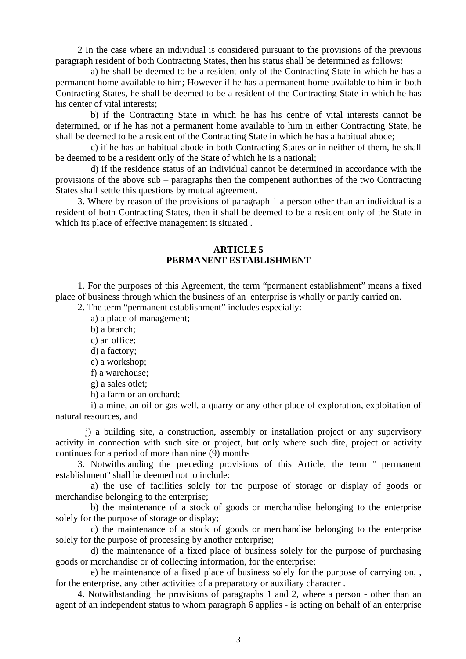2 In the case where an individual is considered pursuant to the provisions of the previous paragraph resident of both Contracting States, then his status shall be determined as follows:

a) he shall be deemed to be a resident only of the Contracting State in which he has a permanent home available to him; However if he has a permanent home available to him in both Contracting States, he shall be deemed to be a resident of the Contracting State in which he has his center of vital interests;

b) if the Contracting State in which he has his centre of vital interests cannot be determined, or if he has not a permanent home available to him in either Contracting State, he shall be deemed to be a resident of the Contracting State in which he has a habitual abode;

c) if he has an habitual abode in both Contracting States or in neither of them, he shall be deemed to be a resident only of the State of which he is a national;

d) if the residence status of an individual cannot be determined in accordance with the provisions of the above sub – paragraphs then the compenent authorities of the two Contracting States shall settle this questions by mutual agreement.

3. Where by reason of the provisions of paragraph 1 a person other than an individual is a resident of both Contracting States, then it shall be deemed to be a resident only of the State in which its place of effective management is situated .

## **ARTICLE 5 PERMANENT ESTABLISHMENT**

1. For the purposes of this Agreement, the term "permanent establishment" means a fixed place of business through which the business of an enterprise is wholly or partly carried on.

2. The term "permanent establishment" includes especially:

a) a place of management;

b) a branch;

c) an office;

d) a factory;

e) a workshop;

f) a warehouse;

g) a sales otlet;

h) a farm or an orchard;

i) a mine, an oil or gas well, a quarry or any other place of exploration, exploitation of natural resources, and

 j) a building site, a construction, assembly or installation project or any supervisory activity in connection with such site or project, but only where such dite, project or activity continues for a period of more than nine (9) months

3. Notwithstanding the preceding provisions of this Article, the term '' permanent establishment'' shall be deemed not to include:

a) the use of facilities solely for the purpose of storage or display of goods or merchandise belonging to the enterprise;

b) the maintenance of a stock of goods or merchandise belonging to the enterprise solely for the purpose of storage or display;

c) the maintenance of a stock of goods or merchandise belonging to the enterprise solely for the purpose of processing by another enterprise;

d) the maintenance of a fixed place of business solely for the purpose of purchasing goods or merchandise or of collecting information, for the enterprise;

e) he maintenance of a fixed place of business solely for the purpose of carrying on, , for the enterprise, any other activities of a preparatory or auxiliary character .

4. Notwithstanding the provisions of paragraphs 1 and 2, where a person - other than an agent of an independent status to whom paragraph 6 applies - is acting on behalf of an enterprise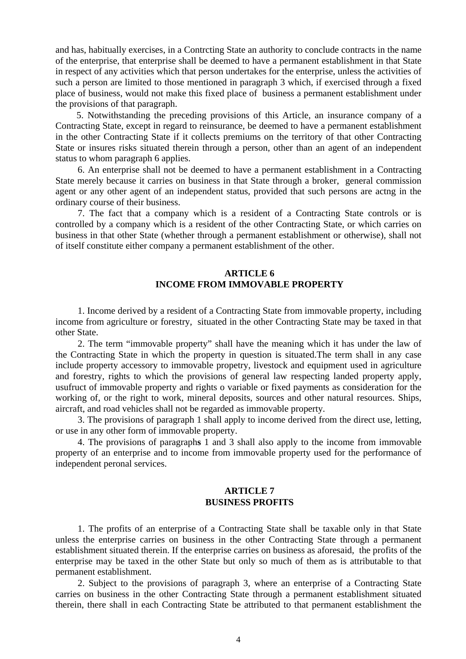and has, habitually exercises, in a Contrcting State an authority to conclude contracts in the name of the enterprise, that enterprise shall be deemed to have a permanent establishment in that State in respect of any activities which that person undertakes for the enterprise, unless the activities of such a person are limited to those mentioned in paragraph 3 which, if exercised through a fixed place of business, would not make this fixed place of business a permanent establishment under the provisions of that paragraph.

5. Notwithstanding the preceding provisions of this Article, an insurance company of a Contracting State, except in regard to reinsurance, be deemed to have a permanent establishment in the other Contracting State if it collects premiums on the territory of that other Contracting State or insures risks situated therein through a person, other than an agent of an independent status to whom paragraph 6 applies.

6. An enterprise shall not be deemed to have a permanent establishment in a Contracting State merely because it carries on business in that State through a broker, general commission agent or any other agent of an independent status, provided that such persons are actng in the ordinary course of their business.

7. The fact that a company which is a resident of a Contracting State controls or is controlled by a company which is a resident of the other Contracting State, or which carries on business in that other State (whether through a permanent establishment or otherwise), shall not of itself constitute either company a permanent establishment of the other.

# **ARTICLE 6 INCOME FROM IMMOVABLE PROPERTY**

1. Income derived by a resident of a Contracting State from immovable property, including income from agriculture or forestry, situated in the other Contracting State may be taxed in that other State.

2. The term "immovable property" shall have the meaning which it has under the law of the Contracting State in which the property in question is situated.The term shall in any case include property accessory to immovable propetry, livestock and equipment used in agriculture and forestry, rights to which the provisions of general law respecting landed property apply, usufruct of immovable property and rights o variable or fixed payments as consideration for the working of, or the right to work, mineral deposits, sources and other natural resources. Ships, aircraft, and road vehicles shall not be regarded as immovable property.

3. The provisions of paragraph 1 shall apply to income derived from the direct use, letting, or use in any other form of immovable property.

4. The provisions of paragraph**s** 1 and 3 shall also apply to the income from immovable property of an enterprise and to income from immovable property used for the performance of independent peronal services.

## **ARTICLE 7 BUSINESS PROFITS**

1. The profits of an enterprise of a Contracting State shall be taxable only in that State unless the enterprise carries on business in the other Contracting State through a permanent establishment situated therein. If the enterprise carries on business as aforesaid, the profits of the enterprise may be taxed in the other State but only so much of them as is attributable to that permanent establishment.

2. Subject to the provisions of paragraph 3, where an enterprise of a Contracting State carries on business in the other Contracting State through a permanent establishment situated therein, there shall in each Contracting State be attributed to that permanent establishment the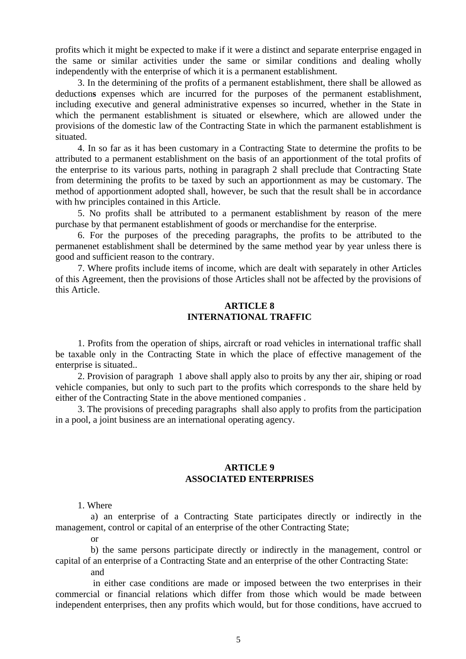profits which it might be expected to make if it were a distinct and separate enterprise engaged in the same or similar activities under the same or similar conditions and dealing wholly independently with the enterprise of which it is a permanent establishment.

3. In the determining of the profits of a permanent establishment, there shall be allowed as deduction**s** expenses which are incurred for the purposes of the permanent establishment, including executive and general administrative expenses so incurred, whether in the State in which the permanent establishment is situated or elsewhere, which are allowed under the provisions of the domestic law of the Contracting State in which the parmanent establishment is situated.

4. In so far as it has been customary in a Contracting State to determine the profits to be attributed to a permanent establishment on the basis of an apportionment of the total profits of the enterprise to its various parts, nothing in paragraph 2 shall preclude that Contracting State from determining the profits to be taxed by such an apportionment as may be customary. The method of apportionment adopted shall, however, be such that the result shall be in accordance with hw principles contained in this Article.

5. No profits shall be attributed to a permanent establishment by reason of the mere purchase by that permanent establishment of goods or merchandise for the enterprise.

6. For the purposes of the preceding paragraphs, the profits to be attributed to the permanenet establishment shall be determined by the same method year by year unless there is good and sufficient reason to the contrary.

7. Where profits include items of income, which are dealt with separately in other Articles of this Agreement, then the provisions of those Articles shall not be affected by the provisions of this Article.

# **ARTICLE 8 INTERNATIONAL TRAFFIC**

1. Profits from the operation of ships, aircraft or road vehicles in international traffic shall be taxable only in the Contracting State in which the place of effective management of the enterprise is situated..

2. Provision of paragraph 1 above shall apply also to proits by any ther air, shiping or road vehicle companies, but only to such part to the profits which corresponds to the share held by either of the Contracting State in the above mentioned companies .

3. The provisions of preceding paragraphs shall also apply to profits from the participation in a pool, a joint business are an international operating agency.

# **ARTICLE 9 ASSOCIATED ENTERPRISES**

#### 1. Where

a) an enterprise of a Contracting State participates directly or indirectly in the management, control or capital of an enterprise of the other Contracting State;

or

b) the same persons participate directly or indirectly in the management, control or capital of an enterprise of a Contracting State and an enterprise of the other Contracting State: and

 in either case conditions are made or imposed between the two enterprises in their commercial or financial relations which differ from those which would be made between independent enterprises, then any profits which would, but for those conditions, have accrued to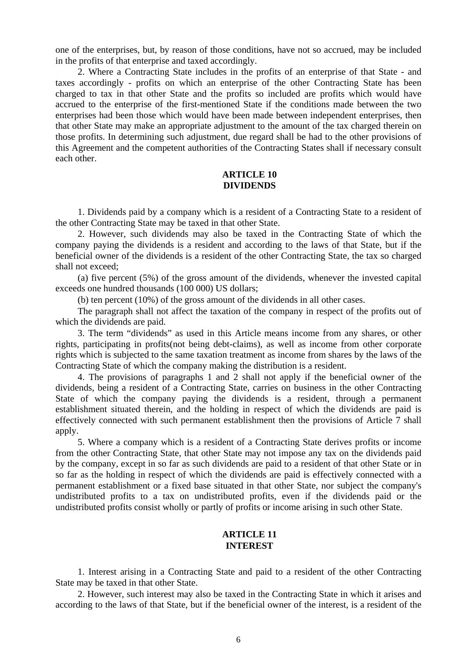one of the enterprises, but, by reason of those conditions, have not so accrued, may be included in the profits of that enterprise and taxed accordingly.

2. Where a Contracting State includes in the profits of an enterprise of that State - and taxes accordingly - profits on which an enterprise of the other Contracting State has been charged to tax in that other State and the profits so included are profits which would have accrued to the enterprise of the first-mentioned State if the conditions made between the two enterprises had been those which would have been made between independent enterprises, then that other State may make an appropriate adjustment to the amount of the tax charged therein on those profits. In determining such adjustment, due regard shall be had to the other provisions of this Agreement and the competent authorities of the Contracting States shall if necessary consult each other.

# **ARTICLE 10 DIVIDENDS**

1. Dividends paid by a company which is a resident of a Contracting State to a resident of the other Contracting State may be taxed in that other State.

2. However, such dividends may also be taxed in the Contracting State of which the company paying the dividends is a resident and according to the laws of that State, but if the beneficial owner of the dividends is a resident of the other Contracting State, the tax so charged shall not exceed;

(a) five percent (5%) of the gross amount of the dividends, whenever the invested capital exceeds one hundred thousands (100 000) US dollars;

(b) ten percent (10%) of the gross amount of the dividends in all other cases.

The paragraph shall not affect the taxation of the company in respect of the profits out of which the dividends are paid.

3. The term "dividends" as used in this Article means income from any shares, or other rights, participating in profits(not being debt-claims), as well as income from other corporate rights which is subjected to the same taxation treatment as income from shares by the laws of the Contracting State of which the company making the distribution is a resident.

4. The provisions of paragraphs 1 and 2 shall not apply if the beneficial owner of the dividends, being a resident of a Contracting State, carries on business in the other Contracting State of which the company paying the dividends is a resident, through a permanent establishment situated therein, and the holding in respect of which the dividends are paid is effectively connected with such permanent establishment then the provisions of Article 7 shall apply.

5. Where a company which is a resident of a Contracting State derives profits or income from the other Contracting State, that other State may not impose any tax on the dividends paid by the company, except in so far as such dividends are paid to a resident of that other State or in so far as the holding in respect of which the dividends are paid is effectively connected with a permanent establishment or a fixed base situated in that other State, nor subject the company's undistributed profits to a tax on undistributed profits, even if the dividends paid or the undistributed profits consist wholly or partly of profits or income arising in such other State.

# **ARTICLE 11 INTEREST**

1. Interest arising in a Contracting State and paid to a resident of the other Contracting State may be taxed in that other State.

2. However, such interest may also be taxed in the Contracting State in which it arises and according to the laws of that State, but if the beneficial owner of the interest, is a resident of the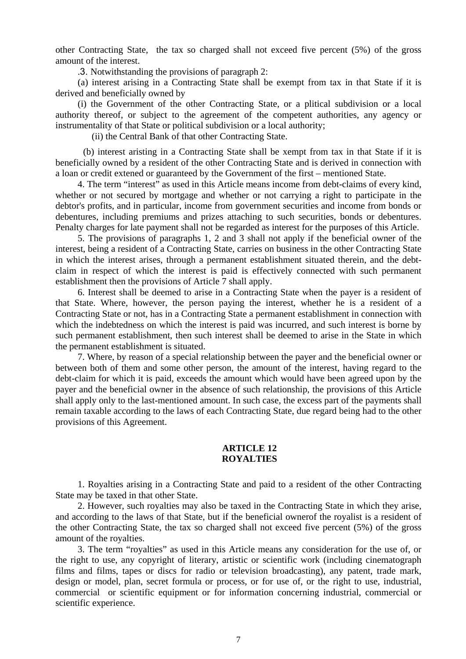other Contracting State, the tax so charged shall not exceed five percent (5%) of the gross amount of the interest.

.3. Notwithstanding the provisions of paragraph 2:

(a) interest arising in a Contracting State shall be exempt from tax in that State if it is derived and beneficially owned by

(i) the Government of the other Contracting State, or a plitical subdivision or a local authority thereof, or subject to the agreement of the competent authorities, any agency or instrumentality of that State or political subdivision or a local authority;

(ii) the Central Bank of that other Contracting State.

 (b) interest aristing in a Contracting State shall be xempt from tax in that State if it is beneficially owned by a resident of the other Contracting State and is derived in connection with a loan or credit extened or guaranteed by the Government of the first – mentioned State.

4. The term "interest" as used in this Article means income from debt-claims of every kind, whether or not secured by mortgage and whether or not carrying a right to participate in the debtor's profits, and in particular, income from government securities and income from bonds or debentures, including premiums and prizes attaching to such securities, bonds or debentures. Penalty charges for late payment shall not be regarded as interest for the purposes of this Article.

5. The provisions of paragraphs 1, 2 and 3 shall not apply if the beneficial owner of the interest, being a resident of a Contracting State, carries on business in the other Contracting State in which the interest arises, through a permanent establishment situated therein, and the debtclaim in respect of which the interest is paid is effectively connected with such permanent establishment then the provisions of Article 7 shall apply.

6. Interest shall be deemed to arise in a Contracting State when the payer is a resident of that State. Where, however, the person paying the interest, whether he is a resident of a Contracting State or not, has in a Contracting State a permanent establishment in connection with which the indebtedness on which the interest is paid was incurred, and such interest is borne by such permanent establishment, then such interest shall be deemed to arise in the State in which the permanent establishment is situated.

7. Where, by reason of a special relationship between the payer and the beneficial owner or between both of them and some other person, the amount of the interest, having regard to the debt-claim for which it is paid, exceeds the amount which would have been agreed upon by the payer and the beneficial owner in the absence of such relationship, the provisions of this Article shall apply only to the last-mentioned amount. In such case, the excess part of the payments shall remain taxable according to the laws of each Contracting State, due regard being had to the other provisions of this Agreement.

# **ARTICLE 12 ROYALTIES**

1. Royalties arising in a Contracting State and paid to a resident of the other Contracting State may be taxed in that other State.

2. However, such royalties may also be taxed in the Contracting State in which they arise, and according to the laws of that State, but if the beneficial ownerof the royalist is a resident of the other Contracting State, the tax so charged shall not exceed five percent (5%) of the gross amount of the royalties.

3. The term "royalties" as used in this Article means any consideration for the use of, or the right to use, any copyright of literary, artistic or scientific work (including cinematograph films and films, tapes or discs for radio or television broadcasting), any patent, trade mark, design or model, plan, secret formula or process, or for use of, or the right to use, industrial, commercial or scientific equipment or for information concerning industrial, commercial or scientific experience.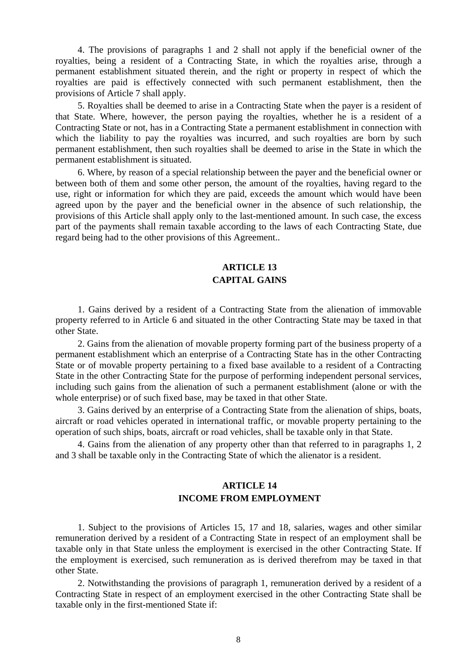4. The provisions of paragraphs 1 and 2 shall not apply if the beneficial owner of the royalties, being a resident of a Contracting State, in which the royalties arise, through a permanent establishment situated therein, and the right or property in respect of which the royalties are paid is effectively connected with such permanent establishment, then the provisions of Article 7 shall apply.

5. Royalties shall be deemed to arise in a Contracting State when the payer is a resident of that State. Where, however, the person paying the royalties, whether he is a resident of a Contracting State or not, has in a Contracting State a permanent establishment in connection with which the liability to pay the royalties was incurred, and such royalties are born by such permanent establishment, then such royalties shall be deemed to arise in the State in which the permanent establishment is situated.

6. Where, by reason of a special relationship between the payer and the beneficial owner or between both of them and some other person, the amount of the royalties, having regard to the use, right or information for which they are paid, exceeds the amount which would have been agreed upon by the payer and the beneficial owner in the absence of such relationship, the provisions of this Article shall apply only to the last-mentioned amount. In such case, the excess part of the payments shall remain taxable according to the laws of each Contracting State, due regard being had to the other provisions of this Agreement..

# **ARTICLE 13 CAPITAL GAINS**

1. Gains derived by a resident of a Contracting State from the alienation of immovable property referred to in Article 6 and situated in the other Contracting State may be taxed in that other State.

2. Gains from the alienation of movable property forming part of the business property of a permanent establishment which an enterprise of a Contracting State has in the other Contracting State or of movable property pertaining to a fixed base available to a resident of a Contracting State in the other Contracting State for the purpose of performing independent personal services, including such gains from the alienation of such a permanent establishment (alone or with the whole enterprise) or of such fixed base, may be taxed in that other State.

3. Gains derived by an enterprise of a Contracting State from the alienation of ships, boats, aircraft or road vehicles operated in international traffic, or movable property pertaining to the operation of such ships, boats, aircraft or road vehicles, shall be taxable only in that State.

4. Gains from the alienation of any property other than that referred to in paragraphs 1, 2 and 3 shall be taxable only in the Contracting State of which the alienator is a resident.

# **ARTICLE 14 INCOME FROM EMPLOYMENT**

1. Subject to the provisions of Articles 15, 17 and 18, salaries, wages and other similar remuneration derived by a resident of a Contracting State in respect of an employment shall be taxable only in that State unless the employment is exercised in the other Contracting State. If the employment is exercised, such remuneration as is derived therefrom may be taxed in that other State.

2. Notwithstanding the provisions of paragraph 1, remuneration derived by a resident of a Contracting State in respect of an employment exercised in the other Contracting State shall be taxable only in the first-mentioned State if: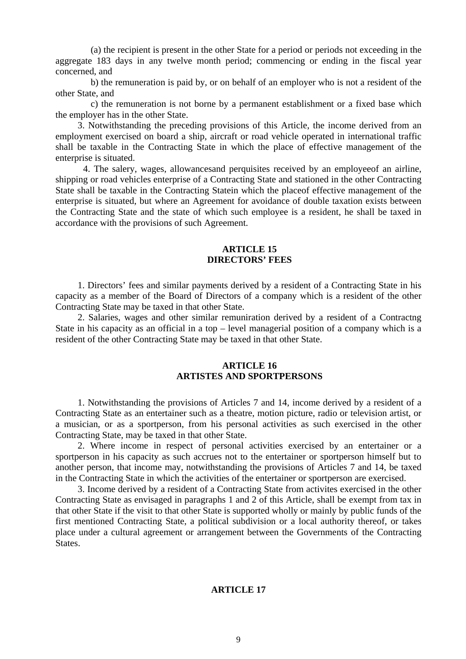(a) the recipient is present in the other State for a period or periods not exceeding in the aggregate 183 days in any twelve month period; commencing or ending in the fiscal year concerned, and

b) the remuneration is paid by, or on behalf of an employer who is not a resident of the other State, and

c) the remuneration is not borne by a permanent establishment or a fixed base which the employer has in the other State.

3. Notwithstanding the preceding provisions of this Article, the income derived from an employment exercised on board a ship, aircraft or road vehicle operated in international traffic shall be taxable in the Contracting State in which the place of effective management of the enterprise is situated.

 4. The salery, wages, allowancesand perquisites received by an employeeof an airline, shipping or road vehicles enterprise of a Contracting State and stationed in the other Contracting State shall be taxable in the Contracting Statein which the placeof effective management of the enterprise is situated, but where an Agreement for avoidance of double taxation exists between the Contracting State and the state of which such employee is a resident, he shall be taxed in accordance with the provisions of such Agreement.

## **ARTICLE 15 DIRECTORS' FEES**

1. Directors' fees and similar payments derived by a resident of a Contracting State in his capacity as a member of the Board of Directors of a company which is a resident of the other Contracting State may be taxed in that other State.

2. Salaries, wages and other similar remuniration derived by a resident of a Contractng State in his capacity as an official in a top – level managerial position of a company which is a resident of the other Contracting State may be taxed in that other State.

# **ARTICLE 16 ARTISTES AND SPORTPERSONS**

1. Notwithstanding the provisions of Articles 7 and 14, income derived by a resident of a Contracting State as an entertainer such as a theatre, motion picture, radio or television artist, or a musician, or as a sportperson, from his personal activities as such exercised in the other Contracting State, may be taxed in that other State.

2. Where income in respect of personal activities exercised by an entertainer or a sportperson in his capacity as such accrues not to the entertainer or sportperson himself but to another person, that income may, notwithstanding the provisions of Articles 7 and 14, be taxed in the Contracting State in which the activities of the entertainer or sportperson are exercised.

3. Income derived by a resident of a Contracting State from activites exercised in the other Contracting State as envisaged in paragraphs 1 and 2 of this Article, shall be exempt from tax in that other State if the visit to that other State is supported wholly or mainly by public funds of the first mentioned Contracting State, a political subdivision or a local authority thereof, or takes place under a cultural agreement or arrangement between the Governments of the Contracting States.

# **ARTICLE 17**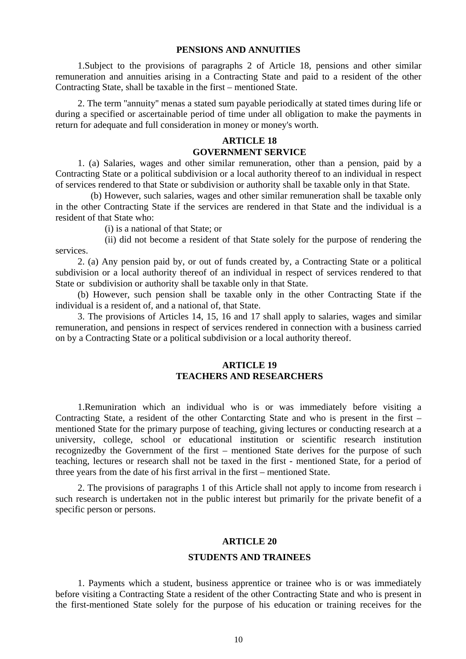#### **PENSIONS AND ANNUITIES**

1.Subject to the provisions of paragraphs 2 of Article 18, pensions and other similar remuneration and annuities arising in a Contracting State and paid to a resident of the other Contracting State, shall be taxable in the first – mentioned State.

2. The term ''annuity'' menas a stated sum payable periodically at stated times during life or during a specified or ascertainable period of time under all obligation to make the payments in return for adequate and full consideration in money or money's worth.

# **ARTICLE 18 GOVERNMENT SERVICE**

1. (a) Salaries, wages and other similar remuneration, other than a pension, paid by a Contracting State or a political subdivision or a local authority thereof to an individual in respect of services rendered to that State or subdivision or authority shall be taxable only in that State.

(b) However, such salaries, wages and other similar remuneration shall be taxable only in the other Contracting State if the services are rendered in that State and the individual is a resident of that State who:

(i) is a national of that State; or

(ii) did not become a resident of that State solely for the purpose of rendering the services.

2. (a) Any pension paid by, or out of funds created by, a Contracting State or a political subdivision or a local authority thereof of an individual in respect of services rendered to that State or subdivision or authority shall be taxable only in that State.

(b) However, such pension shall be taxable only in the other Contracting State if the individual is a resident of, and a national of, that State.

3. The provisions of Articles 14, 15, 16 and 17 shall apply to salaries, wages and similar remuneration, and pensions in respect of services rendered in connection with a business carried on by a Contracting State or a political subdivision or a local authority thereof.

# **ARTICLE 19 TEACHERS AND RESEARCHERS**

1.Remuniration which an individual who is or was immediately before visiting a Contracting State, a resident of the other Contarcting State and who is present in the first – mentioned State for the primary purpose of teaching, giving lectures or conducting research at a university, college, school or educational institution or scientific research institution recognizedby the Government of the first – mentioned State derives for the purpose of such teaching, lectures or research shall not be taxed in the first - mentioned State, for a period of three years from the date of his first arrival in the first – mentioned State.

2. The provisions of paragraphs 1 of this Article shall not apply to income from research i such research is undertaken not in the public interest but primarily for the private benefit of a specific person or persons.

## **ARTICLE 20**

#### **STUDENTS AND TRAINEES**

1. Payments which a student, business apprentice or trainee who is or was immediately before visiting a Contracting State a resident of the other Contracting State and who is present in the first-mentioned State solely for the purpose of his education or training receives for the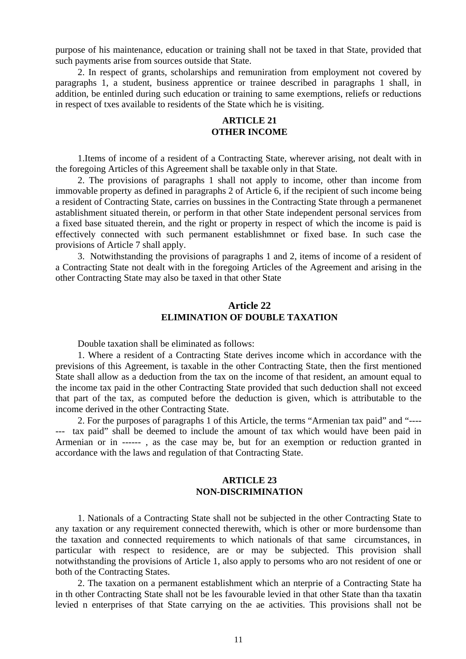purpose of his maintenance, education or training shall not be taxed in that State, provided that such payments arise from sources outside that State.

2. In respect of grants, scholarships and remuniration from employment not covered by paragraphs 1, a student, business apprentice or trainee described in paragraphs 1 shall, in addition, be entinled during such education or training to same exemptions, reliefs or reductions in respect of txes available to residents of the State which he is visiting.

# **ARTICLE 21 OTHER INCOME**

1.Items of income of a resident of a Contracting State, wherever arising, not dealt with in the foregoing Articles of this Agreement shall be taxable only in that State.

2. The provisions of paragraphs 1 shall not apply to income, other than income from immovable property as defined in paragraphs 2 of Article 6, if the recipient of such income being a resident of Contracting State, carries on bussines in the Contracting State through a permanenet astablishment situated therein, or perform in that other State independent personal services from a fixed base situated therein, and the right or property in respect of which the income is paid is effectively connected with such permanent establishmnet or fixed base. In such case the provisions of Article 7 shall apply.

3. Notwithstanding the provisions of paragraphs 1 and 2, items of income of a resident of a Contracting State not dealt with in the foregoing Articles of the Agreement and arising in the other Contracting State may also be taxed in that other State

# **Article 22 ELIMINATION OF DOUBLE TAXATION**

Double taxation shall be eliminated as follows:

1. Where a resident of a Contracting State derives income which in accordance with the previsions of this Agreement, is taxable in the other Contracting State, then the first mentioned State shall allow as a deduction from the tax on the income of that resident, an amount equal to the income tax paid in the other Contracting State provided that such deduction shall not exceed that part of the tax, as computed before the deduction is given, which is attributable to the income derived in the other Contracting State.

2. For the purposes of paragraphs 1 of this Article, the terms "Armenian tax paid" and "---- --- tax paid" shall be deemed to include the amount of tax which would have been paid in Armenian or in ------ , as the case may be, but for an exemption or reduction granted in accordance with the laws and regulation of that Contracting State.

# **ARTICLE 23 NON-DISCRIMINATION**

1. Nationals of a Contracting State shall not be subjected in the other Contracting State to any taxation or any requirement connected therewith, which is other or more burdensome than the taxation and connected requirements to which nationals of that same circumstances, in particular with respect to residence, are or may be subjected. This provision shall notwithstanding the provisions of Article 1, also apply to persoms who aro not resident of one or both of the Contracting States.

2. The taxation on a permanent establishment which an nterprie of a Contracting State ha in th other Contracting State shall not be les favourable levied in that other State than tha taxatin levied n enterprises of that State carrying on the ae activities. This provisions shall not be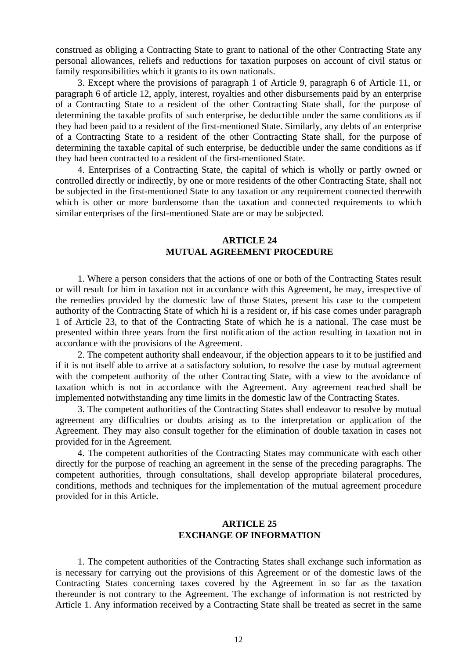construed as obliging a Contracting State to grant to national of the other Contracting State any personal allowances, reliefs and reductions for taxation purposes on account of civil status or family responsibilities which it grants to its own nationals.

3. Except where the provisions of paragraph 1 of Article 9, paragraph 6 of Article 11, or paragraph 6 of article 12, apply, interest, royalties and other disbursements paid by an enterprise of a Contracting State to a resident of the other Contracting State shall, for the purpose of determining the taxable profits of such enterprise, be deductible under the same conditions as if they had been paid to a resident of the first-mentioned State. Similarly, any debts of an enterprise of a Contracting State to a resident of the other Contracting State shall, for the purpose of determining the taxable capital of such enterprise, be deductible under the same conditions as if they had been contracted to a resident of the first-mentioned State.

4. Enterprises of a Contracting State, the capital of which is wholly or partly owned or controlled directly or indirectly, by one or more residents of the other Contracting State, shall not be subjected in the first-mentioned State to any taxation or any requirement connected therewith which is other or more burdensome than the taxation and connected requirements to which similar enterprises of the first-mentioned State are or may be subjected.

# **ARTICLE 24 MUTUAL AGREEMENT PROCEDURE**

1. Where a person considers that the actions of one or both of the Contracting States result or will result for him in taxation not in accordance with this Agreement, he may, irrespective of the remedies provided by the domestic law of those States, present his case to the competent authority of the Contracting State of which hi is a resident or, if his case comes under paragraph 1 of Article 23, to that of the Contracting State of which he is a national. The case must be presented within three years from the first notification of the action resulting in taxation not in accordance with the provisions of the Agreement.

2. The competent authority shall endeavour, if the objection appears to it to be justified and if it is not itself able to arrive at a satisfactory solution, to resolve the case by mutual agreement with the competent authority of the other Contracting State, with a view to the avoidance of taxation which is not in accordance with the Agreement. Any agreement reached shall be implemented notwithstanding any time limits in the domestic law of the Contracting States.

3. The competent authorities of the Contracting States shall endeavor to resolve by mutual agreement any difficulties or doubts arising as to the interpretation or application of the Agreement. They may also consult together for the elimination of double taxation in cases not provided for in the Agreement.

4. The competent authorities of the Contracting States may communicate with each other directly for the purpose of reaching an agreement in the sense of the preceding paragraphs. The competent authorities, through consultations, shall develop appropriate bilateral procedures, conditions, methods and techniques for the implementation of the mutual agreement procedure provided for in this Article.

# **ARTICLE 25 EXCHANGE OF INFORMATION**

1. The competent authorities of the Contracting States shall exchange such information as is necessary for carrying out the provisions of this Agreement or of the domestic laws of the Contracting States concerning taxes covered by the Agreement in so far as the taxation thereunder is not contrary to the Agreement. The exchange of information is not restricted by Article 1. Any information received by a Contracting State shall be treated as secret in the same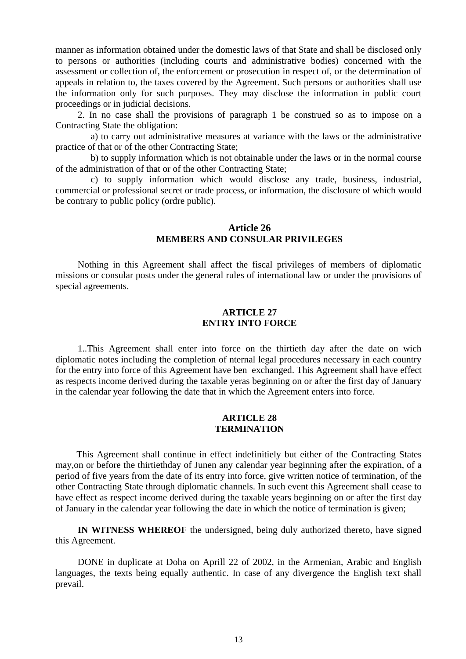manner as information obtained under the domestic laws of that State and shall be disclosed only to persons or authorities (including courts and administrative bodies) concerned with the assessment or collection of, the enforcement or prosecution in respect of, or the determination of appeals in relation to, the taxes covered by the Agreement. Such persons or authorities shall use the information only for such purposes. They may disclose the information in public court proceedings or in judicial decisions.

2. In no case shall the provisions of paragraph 1 be construed so as to impose on a Contracting State the obligation:

a) to carry out administrative measures at variance with the laws or the administrative practice of that or of the other Contracting State;

b) to supply information which is not obtainable under the laws or in the normal course of the administration of that or of the other Contracting State;

c) to supply information which would disclose any trade, business, industrial, commercial or professional secret or trade process, or information, the disclosure of which would be contrary to public policy (ordre public).

# **Article 26 MEMBERS AND CONSULAR PRIVILEGES**

Nothing in this Agreement shall affect the fiscal privileges of members of diplomatic missions or consular posts under the general rules of international law or under the provisions of special agreements.

## **ARTICLE 27 ENTRY INTO FORCE**

1..This Agreement shall enter into force on the thirtieth day after the date on wich diplomatic notes including the completion of nternal legal procedures necessary in each country for the entry into force of this Agreement have ben exchanged. This Agreement shall have effect as respects income derived during the taxable yeras beginning on or after the first day of January in the calendar year following the date that in which the Agreement enters into force.

## **ARTICLE 28 TERMINATION**

This Agreement shall continue in effect indefinitiely but either of the Contracting States may,on or before the thirtiethday of Junen any calendar year beginning after the expiration, of a period of five years from the date of its entry into force, give written notice of termination, of the other Contracting State through diplomatic channels. In such event this Agreement shall cease to have effect as respect income derived during the taxable years beginning on or after the first day of January in the calendar year following the date in which the notice of termination is given;

**IN WITNESS WHEREOF** the undersigned, being duly authorized thereto, have signed this Agreement.

DONE in duplicate at Doha on Aprill 22 of 2002, in the Armenian, Arabic and English languages, the texts being equally authentic. In case of any divergence the English text shall prevail.